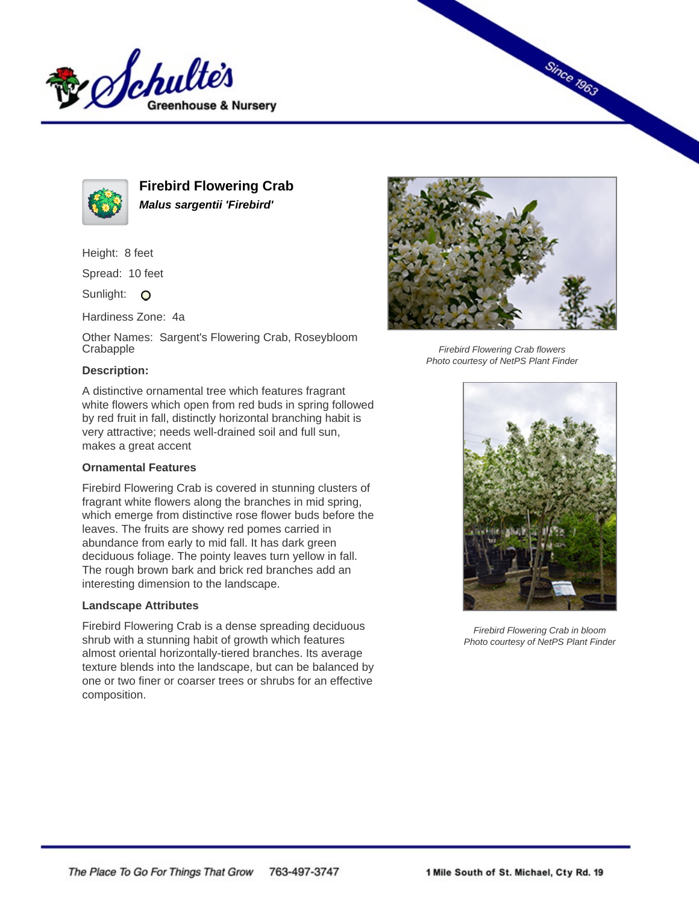



**Firebird Flowering Crab Malus sargentii 'Firebird'**

Height: 8 feet

Spread: 10 feet

Sunlight: O

Hardiness Zone: 4a

Other Names: Sargent's Flowering Crab, Roseybloom **Crabapple** 

# **Description:**

A distinctive ornamental tree which features fragrant white flowers which open from red buds in spring followed by red fruit in fall, distinctly horizontal branching habit is very attractive; needs well-drained soil and full sun, makes a great accent

## **Ornamental Features**

Firebird Flowering Crab is covered in stunning clusters of fragrant white flowers along the branches in mid spring, which emerge from distinctive rose flower buds before the leaves. The fruits are showy red pomes carried in abundance from early to mid fall. It has dark green deciduous foliage. The pointy leaves turn yellow in fall. The rough brown bark and brick red branches add an interesting dimension to the landscape.

## **Landscape Attributes**

Firebird Flowering Crab is a dense spreading deciduous shrub with a stunning habit of growth which features almost oriental horizontally-tiered branches. Its average texture blends into the landscape, but can be balanced by one or two finer or coarser trees or shrubs for an effective composition.



**Since 1963** 

Firebird Flowering Crab flowers Photo courtesy of NetPS Plant Finder



Firebird Flowering Crab in bloom Photo courtesy of NetPS Plant Finder